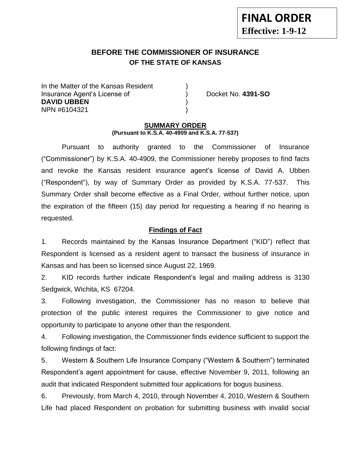# **BEFORE THE COMMISSIONER OF INSURANCE OF THE STATE OF KANSAS**

In the Matter of the Kansas Resident Insurance Agent's License of ) Docket No. **4391-SO DAVID UBBEN** ) NPN #6104321 )

#### **SUMMARY ORDER (Pursuant to K.S.A. 40-4909 and K.S.A. 77-537)**

Pursuant to authority granted to the Commissioner of Insurance ("Commissioner") by K.S.A. 40-4909, the Commissioner hereby proposes to find facts and revoke the Kansas resident insurance agent's license of David A. Ubben ("Respondent"), by way of Summary Order as provided by K.S.A. 77-537. This Summary Order shall become effective as a Final Order, without further notice, upon the expiration of the fifteen (15) day period for requesting a hearing if no hearing is requested.

### **Findings of Fact**

1. Records maintained by the Kansas Insurance Department ("KID") reflect that Respondent is licensed as a resident agent to transact the business of insurance in Kansas and has been so licensed since August 22, 1969.

2. KID records further indicate Respondent's legal and mailing address is 3130 Sedgwick, Wichita, KS 67204.

3. Following investigation, the Commissioner has no reason to believe that protection of the public interest requires the Commissioner to give notice and opportunity to participate to anyone other than the respondent.

4. Following investigation, the Commissioner finds evidence sufficient to support the following findings of fact:

5. Western & Southern Life Insurance Company ("Western & Southern") terminated Respondent's agent appointment for cause, effective November 9, 2011, following an audit that indicated Respondent submitted four applications for bogus business.

6. Previously, from March 4, 2010, through November 4, 2010, Western & Southern Life had placed Respondent on probation for submitting business with invalid social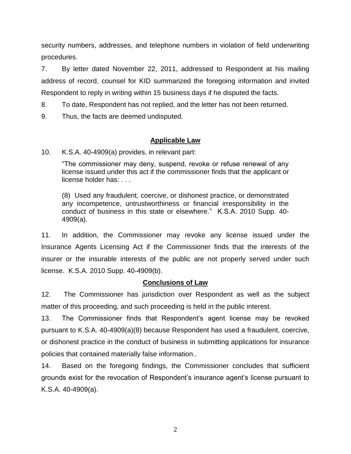security numbers, addresses, and telephone numbers in violation of field underwriting procedures.

7. By letter dated November 22, 2011, addressed to Respondent at his mailing address of record, counsel for KID summarized the foregoing information and invited Respondent to reply in writing within 15 business days if he disputed the facts.

8. To date, Respondent has not replied, and the letter has not been returned.

9. Thus, the facts are deemed undisputed.

# **Applicable Law**

10. K.S.A. 40-4909(a) provides, in relevant part:

"The commissioner may deny, suspend, revoke or refuse renewal of any license issued under this act if the commissioner finds that the applicant or license holder has: . . .

(8) Used any fraudulent, coercive, or dishonest practice, or demonstrated any incompetence, untrustworthiness or financial irresponsibility in the conduct of business in this state or elsewhere." K.S.A. 2010 Supp. 40- 4909(a).

11. In addition, the Commissioner may revoke any license issued under the Insurance Agents Licensing Act if the Commissioner finds that the interests of the insurer or the insurable interests of the public are not properly served under such license. K.S.A. 2010 Supp. 40-4909(b).

# **Conclusions of Law**

12. The Commissioner has jurisdiction over Respondent as well as the subject matter of this proceeding, and such proceeding is held in the public interest.

13. The Commissioner finds that Respondent's agent license may be revoked pursuant to K.S.A. 40-4909(a)(8) because Respondent has used a fraudulent, coercive, or dishonest practice in the conduct of business in submitting applications for insurance policies that contained materially false information..

14. Based on the foregoing findings, the Commissioner concludes that sufficient grounds exist for the revocation of Respondent's insurance agent's license pursuant to K.S.A. 40-4909(a).

2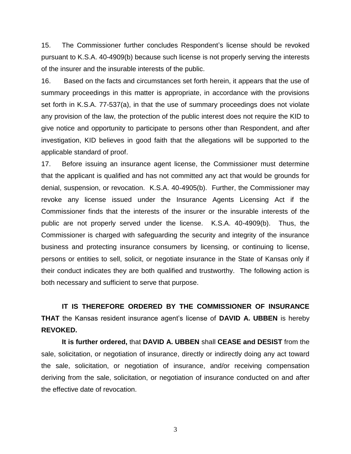15. The Commissioner further concludes Respondent's license should be revoked pursuant to K.S.A. 40-4909(b) because such license is not properly serving the interests of the insurer and the insurable interests of the public.

16. Based on the facts and circumstances set forth herein, it appears that the use of summary proceedings in this matter is appropriate, in accordance with the provisions set forth in K.S.A. 77-537(a), in that the use of summary proceedings does not violate any provision of the law, the protection of the public interest does not require the KID to give notice and opportunity to participate to persons other than Respondent, and after investigation, KID believes in good faith that the allegations will be supported to the applicable standard of proof.

17. Before issuing an insurance agent license, the Commissioner must determine that the applicant is qualified and has not committed any act that would be grounds for denial, suspension, or revocation. K.S.A. 40-4905(b). Further, the Commissioner may revoke any license issued under the Insurance Agents Licensing Act if the Commissioner finds that the interests of the insurer or the insurable interests of the public are not properly served under the license. K.S.A. 40-4909(b). Thus, the Commissioner is charged with safeguarding the security and integrity of the insurance business and protecting insurance consumers by licensing, or continuing to license, persons or entities to sell, solicit, or negotiate insurance in the State of Kansas only if their conduct indicates they are both qualified and trustworthy. The following action is both necessary and sufficient to serve that purpose.

**IT IS THEREFORE ORDERED BY THE COMMISSIONER OF INSURANCE THAT** the Kansas resident insurance agent's license of **DAVID A. UBBEN** is hereby **REVOKED.** 

**It is further ordered,** that **DAVID A. UBBEN** shall **CEASE and DESIST** from the sale, solicitation, or negotiation of insurance, directly or indirectly doing any act toward the sale, solicitation, or negotiation of insurance, and/or receiving compensation deriving from the sale, solicitation, or negotiation of insurance conducted on and after the effective date of revocation.

3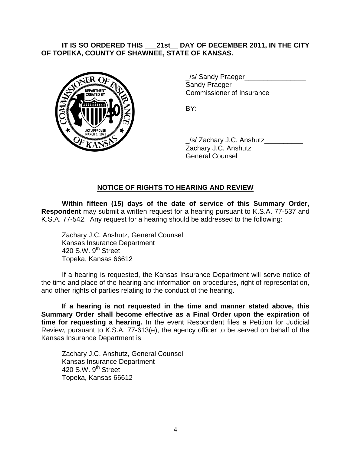### **IT IS SO ORDERED THIS \_\_\_21st\_\_ DAY OF DECEMBER 2011, IN THE CITY OF TOPEKA, COUNTY OF SHAWNEE, STATE OF KANSAS.**



/s/ Sandy Praeger Sandy Praeger Commissioner of Insurance

BY:

\_/s/ Zachary J.C. Anshutz\_\_\_\_\_\_\_\_\_\_ Zachary J.C. Anshutz General Counsel

# **NOTICE OF RIGHTS TO HEARING AND REVIEW**

**Within fifteen (15) days of the date of service of this Summary Order, Respondent** may submit a written request for a hearing pursuant to K.S.A. 77-537 and K.S.A. 77-542. Any request for a hearing should be addressed to the following:

Zachary J.C. Anshutz, General Counsel Kansas Insurance Department 420 S.W.  $9<sup>th</sup>$  Street Topeka, Kansas 66612

If a hearing is requested, the Kansas Insurance Department will serve notice of the time and place of the hearing and information on procedures, right of representation, and other rights of parties relating to the conduct of the hearing.

**If a hearing is not requested in the time and manner stated above, this Summary Order shall become effective as a Final Order upon the expiration of time for requesting a hearing.** In the event Respondent files a Petition for Judicial Review, pursuant to K.S.A. 77-613(e), the agency officer to be served on behalf of the Kansas Insurance Department is

Zachary J.C. Anshutz, General Counsel Kansas Insurance Department 420 S.W.  $9<sup>th</sup>$  Street Topeka, Kansas 66612